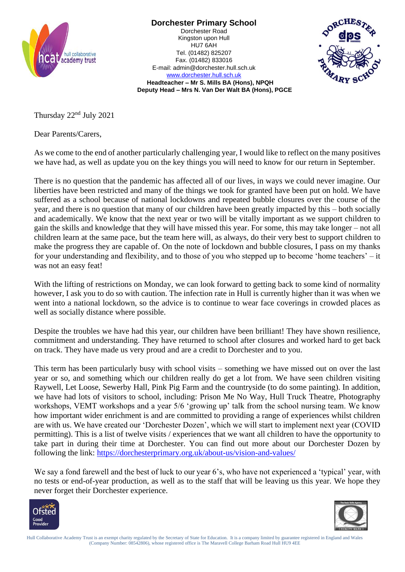

**Dorchester Primary School**

Dorchester Road Kingston upon Hull HU7 6AH Tel. (01482) 825207 Fax. (01482) 833016 E-mail: admin@dorchester.hull.sch.uk [www.dorchester.hull.sch.uk](http://www.dorchester.hull.sch.uk/)



**Headteacher – Mr S. Mills BA (Hons), NPQH Deputy Head – Mrs N. Van Der Walt BA (Hons), PGCE**

Thursday 22nd July 2021

Dear Parents/Carers,

As we come to the end of another particularly challenging year, I would like to reflect on the many positives we have had, as well as update you on the key things you will need to know for our return in September.

There is no question that the pandemic has affected all of our lives, in ways we could never imagine. Our liberties have been restricted and many of the things we took for granted have been put on hold. We have suffered as a school because of national lockdowns and repeated bubble closures over the course of the year, and there is no question that many of our children have been greatly impacted by this – both socially and academically. We know that the next year or two will be vitally important as we support children to gain the skills and knowledge that they will have missed this year. For some, this may take longer – not all children learn at the same pace, but the team here will, as always, do their very best to support children to make the progress they are capable of. On the note of lockdown and bubble closures, I pass on my thanks for your understanding and flexibility, and to those of you who stepped up to become 'home teachers' – it was not an easy feat!

With the lifting of restrictions on Monday, we can look forward to getting back to some kind of normality however, I ask you to do so with caution. The infection rate in Hull is currently higher than it was when we went into a national lockdown, so the advice is to continue to wear face coverings in crowded places as well as socially distance where possible.

Despite the troubles we have had this year, our children have been brilliant! They have shown resilience, commitment and understanding. They have returned to school after closures and worked hard to get back on track. They have made us very proud and are a credit to Dorchester and to you.

This term has been particularly busy with school visits – something we have missed out on over the last year or so, and something which our children really do get a lot from. We have seen children visiting Raywell, Let Loose, Sewerby Hall, Pink Pig Farm and the countryside (to do some painting). In addition, we have had lots of visitors to school, including: Prison Me No Way, Hull Truck Theatre, Photography workshops, VEMT workshops and a year 5/6 'growing up' talk from the school nursing team. We know how important wider enrichment is and are committed to providing a range of experiences whilst children are with us. We have created our 'Dorchester Dozen', which we will start to implement next year (COVID permitting). This is a list of twelve visits / experiences that we want all children to have the opportunity to take part in during their time at Dorchester. You can find out more about our Dorchester Dozen by following the link:<https://dorchesterprimary.org.uk/about-us/vision-and-values/>

We say a fond farewell and the best of luck to our year 6's, who have not experienced a 'typical' year, with no tests or end-of-year production, as well as to the staff that will be leaving us this year. We hope they never forget their Dorchester experience.



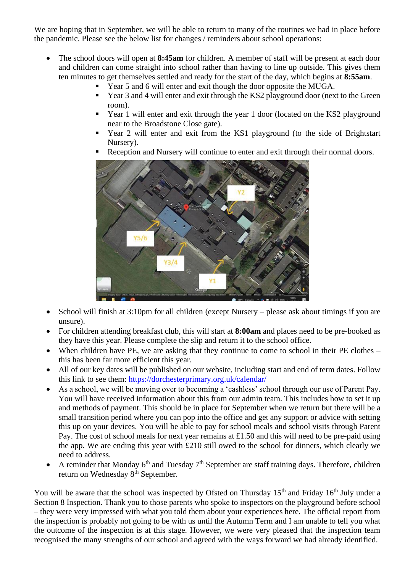We are hoping that in September, we will be able to return to many of the routines we had in place before the pandemic. Please see the below list for changes / reminders about school operations:

- The school doors will open at **8:45am** for children. A member of staff will be present at each door and children can come straight into school rather than having to line up outside. This gives them ten minutes to get themselves settled and ready for the start of the day, which begins at **8:55am**.
	- Year 5 and 6 will enter and exit though the door opposite the MUGA.
	- Year 3 and 4 will enter and exit through the KS2 playground door (next to the Green room).
	- Year 1 will enter and exit through the year 1 door (located on the KS2 playground near to the Broadstone Close gate).
	- Year 2 will enter and exit from the KS1 playground (to the side of Brightstart Nursery).
	- Reception and Nursery will continue to enter and exit through their normal doors.



- School will finish at 3:10pm for all children (except Nursery please ask about timings if you are unsure).
- For children attending breakfast club, this will start at **8:00am** and places need to be pre-booked as they have this year. Please complete the slip and return it to the school office.
- When children have PE, we are asking that they continue to come to school in their PE clothes this has been far more efficient this year.
- All of our key dates will be published on our website, including start and end of term dates. Follow this link to see them:<https://dorchesterprimary.org.uk/calendar/>
- As a school, we will be moving over to becoming a 'cashless' school through our use of Parent Pay. You will have received information about this from our admin team. This includes how to set it up and methods of payment. This should be in place for September when we return but there will be a small transition period where you can pop into the office and get any support or advice with setting this up on your devices. You will be able to pay for school meals and school visits through Parent Pay. The cost of school meals for next year remains at £1.50 and this will need to be pre-paid using the app. We are ending this year with £210 still owed to the school for dinners, which clearly we need to address.
- A reminder that Monday  $6<sup>th</sup>$  and Tuesday  $7<sup>th</sup>$  September are staff training days. Therefore, children return on Wednesday 8<sup>th</sup> September.

You will be aware that the school was inspected by Ofsted on Thursday 15<sup>th</sup> and Friday 16<sup>th</sup> July under a Section 8 Inspection. Thank you to those parents who spoke to inspectors on the playground before school – they were very impressed with what you told them about your experiences here. The official report from the inspection is probably not going to be with us until the Autumn Term and I am unable to tell you what the outcome of the inspection is at this stage. However, we were very pleased that the inspection team recognised the many strengths of our school and agreed with the ways forward we had already identified.